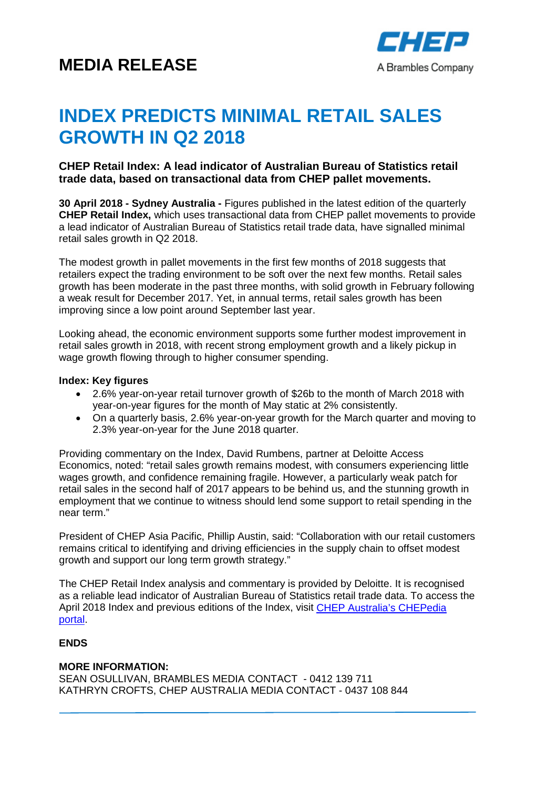# **MEDIA RELEASE**



# **INDEX PREDICTS MINIMAL RETAIL SALES GROWTH IN Q2 2018**

## **CHEP Retail Index: A lead indicator of Australian Bureau of Statistics retail trade data, based on transactional data from CHEP pallet movements.**

**30 April 2018 - Sydney Australia -** Figures published in the latest edition of the quarterly **CHEP Retail Index,** which uses transactional data from CHEP pallet movements to provide a lead indicator of Australian Bureau of Statistics retail trade data, have signalled minimal retail sales growth in Q2 2018.

The modest growth in pallet movements in the first few months of 2018 suggests that retailers expect the trading environment to be soft over the next few months. Retail sales growth has been moderate in the past three months, with solid growth in February following a weak result for December 2017. Yet, in annual terms, retail sales growth has been improving since a low point around September last year.

Looking ahead, the economic environment supports some further modest improvement in retail sales growth in 2018, with recent strong employment growth and a likely pickup in wage growth flowing through to higher consumer spending.

#### **Index: Key figures**

- 2.6% year-on-year retail turnover growth of \$26b to the month of March 2018 with year-on-year figures for the month of May static at 2% consistently.
- On a quarterly basis, 2.6% year-on-year growth for the March quarter and moving to 2.3% year-on-year for the June 2018 quarter.

Providing commentary on the Index, David Rumbens, partner at Deloitte Access Economics, noted: "retail sales growth remains modest, with consumers experiencing little wages growth, and confidence remaining fragile. However, a particularly weak patch for retail sales in the second half of 2017 appears to be behind us, and the stunning growth in employment that we continue to witness should lend some support to retail spending in the near term."

President of CHEP Asia Pacific, Phillip Austin, said: "Collaboration with our retail customers remains critical to identifying and driving efficiencies in the supply chain to offset modest growth and support our long term growth strategy."

The CHEP Retail Index analysis and commentary is provided by Deloitte. It is recognised as a reliable lead indicator of Australian Bureau of Statistics retail trade data. To access the April 2018 Index and previous editions of the Index, visit [CHEP Australia's CHEPedia](https://chepedia.chep.com/vantage/afgc-chep-retail-index/)  [portal.](https://chepedia.chep.com/vantage/afgc-chep-retail-index/)

#### **ENDS**

### **MORE INFORMATION:**

SEAN OSULLIVAN, BRAMBLES MEDIA CONTACT - 0412 139 711 KATHRYN CROFTS, CHEP AUSTRALIA MEDIA CONTACT - 0437 108 844